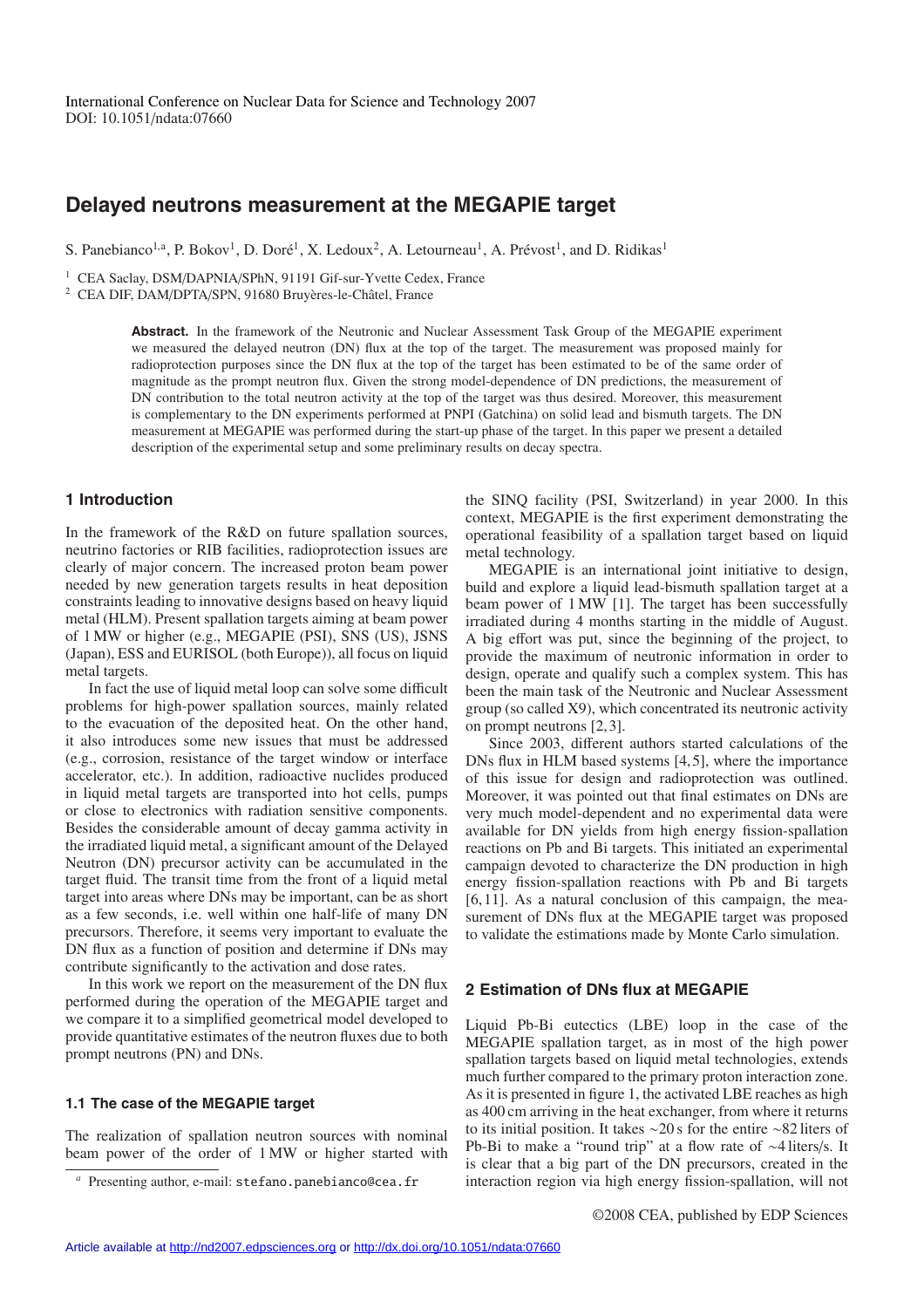# **Delayed neutrons measurement at the MEGAPIE target**

S. Panebianco<sup>1,a</sup>, P. Bokov<sup>1</sup>, D. Doré<sup>1</sup>, X. Ledoux<sup>2</sup>, A. Letourneau<sup>1</sup>, A. Prévost<sup>1</sup>, and D. Ridikas<sup>1</sup>

<sup>1</sup> CEA Saclay, DSM/DAPNIA/SPhN, 91191 Gif-sur-Yvette Cedex, France

<sup>2</sup> CEA DIF, DAM/DPTA/SPN, 91680 Bruyères-le-Châtel, France

**Abstract.** In the framework of the Neutronic and Nuclear Assessment Task Group of the MEGAPIE experiment we measured the delayed neutron (DN) flux at the top of the target. The measurement was proposed mainly for radioprotection purposes since the DN flux at the top of the target has been estimated to be of the same order of magnitude as the prompt neutron flux. Given the strong model-dependence of DN predictions, the measurement of DN contribution to the total neutron activity at the top of the target was thus desired. Moreover, this measurement is complementary to the DN experiments performed at PNPI (Gatchina) on solid lead and bismuth targets. The DN measurement at MEGAPIE was performed during the start-up phase of the target. In this paper we present a detailed description of the experimental setup and some preliminary results on decay spectra.

# **1 Introduction**

In the framework of the R&D on future spallation sources, neutrino factories or RIB facilities, radioprotection issues are clearly of major concern. The increased proton beam power needed by new generation targets results in heat deposition constraints leading to innovative designs based on heavy liquid metal (HLM). Present spallation targets aiming at beam power of 1 MW or higher (e.g., MEGAPIE (PSI), SNS (US), JSNS (Japan), ESS and EURISOL (both Europe)), all focus on liquid metal targets.

In fact the use of liquid metal loop can solve some difficult problems for high-power spallation sources, mainly related to the evacuation of the deposited heat. On the other hand, it also introduces some new issues that must be addressed (e.g., corrosion, resistance of the target window or interface accelerator, etc.). In addition, radioactive nuclides produced in liquid metal targets are transported into hot cells, pumps or close to electronics with radiation sensitive components. Besides the considerable amount of decay gamma activity in the irradiated liquid metal, a significant amount of the Delayed Neutron (DN) precursor activity can be accumulated in the target fluid. The transit time from the front of a liquid metal target into areas where DNs may be important, can be as short as a few seconds, i.e. well within one half-life of many DN precursors. Therefore, it seems very important to evaluate the DN flux as a function of position and determine if DNs may contribute significantly to the activation and dose rates.

In this work we report on the measurement of the DN flux performed during the operation of the MEGAPIE target and we compare it to a simplified geometrical model developed to provide quantitative estimates of the neutron fluxes due to both prompt neutrons (PN) and DNs.

## **1.1 The case of the MEGAPIE target**

The realization of spallation neutron sources with nominal beam power of the order of 1 MW or higher started with the SINQ facility (PSI, Switzerland) in year 2000. In this context, MEGAPIE is the first experiment demonstrating the operational feasibility of a spallation target based on liquid metal technology.

MEGAPIE is an international joint initiative to design, build and explore a liquid lead-bismuth spallation target at a beam power of 1 MW [1]. The target has been successfully irradiated during 4 months starting in the middle of August. A big effort was put, since the beginning of the project, to provide the maximum of neutronic information in order to design, operate and qualify such a complex system. This has been the main task of the Neutronic and Nuclear Assessment group (so called X9), which concentrated its neutronic activity on prompt neutrons [2, 3].

Since 2003, different authors started calculations of the DNs flux in HLM based systems [4,5], where the importance of this issue for design and radioprotection was outlined. Moreover, it was pointed out that final estimates on DNs are very much model-dependent and no experimental data were available for DN yields from high energy fission-spallation reactions on Pb and Bi targets. This initiated an experimental campaign devoted to characterize the DN production in high energy fission-spallation reactions with Pb and Bi targets [6, 11]. As a natural conclusion of this campaign, the measurement of DNs flux at the MEGAPIE target was proposed to validate the estimations made by Monte Carlo simulation.

# **2 Estimation of DNs flux at MEGAPIE**

Liquid Pb-Bi eutectics (LBE) loop in the case of the MEGAPIE spallation target, as in most of the high power spallation targets based on liquid metal technologies, extends much further compared to the primary proton interaction zone. As it is presented in figure 1, the activated LBE reaches as high as 400 cm arriving in the heat exchanger, from where it returns to its initial position. It takes ∼20 s for the entire ∼82 liters of Pb-Bi to make a "round trip" at a flow rate of ∼4 liters/s. It is clear that a big part of the DN precursors, created in the interaction region via high energy fission-spallation, will not

*<sup>a</sup>* Presenting author, e-mail: stefano.panebianco@cea.fr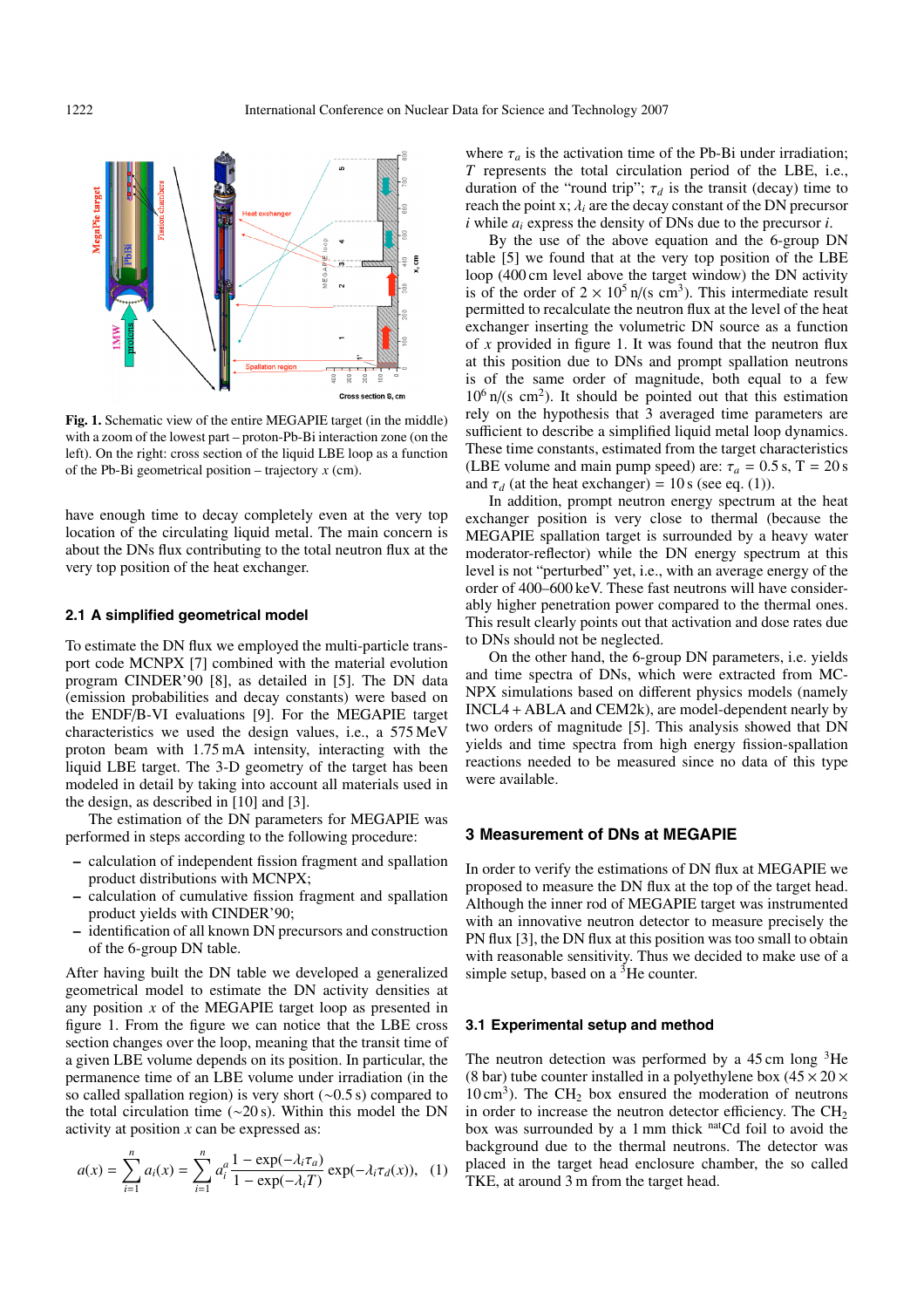

**Fig. 1.** Schematic view of the entire MEGAPIE target (in the middle) with a zoom of the lowest part – proton-Pb-Bi interaction zone (on the left). On the right: cross section of the liquid LBE loop as a function of the Pb-Bi geometrical position – trajectory *x* (cm).

have enough time to decay completely even at the very top location of the circulating liquid metal. The main concern is about the DNs flux contributing to the total neutron flux at the very top position of the heat exchanger.

#### **2.1 A simplified geometrical model**

To estimate the DN flux we employed the multi-particle transport code MCNPX [7] combined with the material evolution program CINDER'90 [8], as detailed in [5]. The DN data (emission probabilities and decay constants) were based on the ENDF/B-VI evaluations [9]. For the MEGAPIE target characteristics we used the design values, i.e., a 575 MeV proton beam with 1.75 mA intensity, interacting with the liquid LBE target. The 3-D geometry of the target has been modeled in detail by taking into account all materials used in the design, as described in [10] and [3].

The estimation of the DN parameters for MEGAPIE was performed in steps according to the following procedure:

- **–** calculation of independent fission fragment and spallation product distributions with MCNPX;
- **–** calculation of cumulative fission fragment and spallation product yields with CINDER'90;
- **–** identification of all known DN precursors and construction of the 6-group DN table.

After having built the DN table we developed a generalized geometrical model to estimate the DN activity densities at any position *x* of the MEGAPIE target loop as presented in figure 1. From the figure we can notice that the LBE cross section changes over the loop, meaning that the transit time of a given LBE volume depends on its position. In particular, the permanence time of an LBE volume under irradiation (in the so called spallation region) is very short (∼0.5 s) compared to the total circulation time (∼20 s). Within this model the DN activity at position *x* can be expressed as:

$$
a(x) = \sum_{i=1}^{n} a_i(x) = \sum_{i=1}^{n} a_i^a \frac{1 - \exp(-\lambda_i \tau_a)}{1 - \exp(-\lambda_i T)} \exp(-\lambda_i \tau_a(x)), \quad (1)
$$

where  $\tau_a$  is the activation time of the Pb-Bi under irradiation; *T* represents the total circulation period of the LBE, i.e., duration of the "round trip";  $\tau_d$  is the transit (decay) time to reach the point x;  $\lambda_i$  are the decay constant of the DN precursor *i* while *ai* express the density of DNs due to the precursor *i*.

By the use of the above equation and the 6-group DN table [5] we found that at the very top position of the LBE loop (400 cm level above the target window) the DN activity is of the order of  $2 \times 10^5$  n/(s cm<sup>3</sup>). This intermediate result permitted to recalculate the neutron flux at the level of the heat exchanger inserting the volumetric DN source as a function of *x* provided in figure 1. It was found that the neutron flux at this position due to DNs and prompt spallation neutrons is of the same order of magnitude, both equal to a few  $10^6$  n/(s cm<sup>2</sup>). It should be pointed out that this estimation rely on the hypothesis that 3 averaged time parameters are sufficient to describe a simplified liquid metal loop dynamics. These time constants, estimated from the target characteristics (LBE volume and main pump speed) are:  $\tau_a = 0.5$  s, T = 20 s and  $\tau_d$  (at the heat exchanger) = 10 s (see eq. (1)).

In addition, prompt neutron energy spectrum at the heat exchanger position is very close to thermal (because the MEGAPIE spallation target is surrounded by a heavy water moderator-reflector) while the DN energy spectrum at this level is not "perturbed" yet, i.e., with an average energy of the order of 400–600 keV. These fast neutrons will have considerably higher penetration power compared to the thermal ones. This result clearly points out that activation and dose rates due to DNs should not be neglected.

On the other hand, the 6-group DN parameters, i.e. yields and time spectra of DNs, which were extracted from MC-NPX simulations based on different physics models (namely INCL4 + ABLA and CEM2k), are model-dependent nearly by two orders of magnitude [5]. This analysis showed that DN yields and time spectra from high energy fission-spallation reactions needed to be measured since no data of this type were available.

#### **3 Measurement of DNs at MEGAPIE**

In order to verify the estimations of DN flux at MEGAPIE we proposed to measure the DN flux at the top of the target head. Although the inner rod of MEGAPIE target was instrumented with an innovative neutron detector to measure precisely the PN flux [3], the DN flux at this position was too small to obtain with reasonable sensitivity. Thus we decided to make use of a simple setup, based on a  ${}^{3}$ He counter.

### **3.1 Experimental setup and method**

The neutron detection was performed by a  $45 \text{ cm}$  long  $3\text{He}$ (8 bar) tube counter installed in a polyethylene box  $(45 \times 20 \times$  $10 \text{ cm}^3$ ). The CH<sub>2</sub> box ensured the moderation of neutrons in order to increase the neutron detector efficiency. The  $CH<sub>2</sub>$ box was surrounded by a 1 mm thick natCd foil to avoid the background due to the thermal neutrons. The detector was placed in the target head enclosure chamber, the so called TKE, at around 3 m from the target head.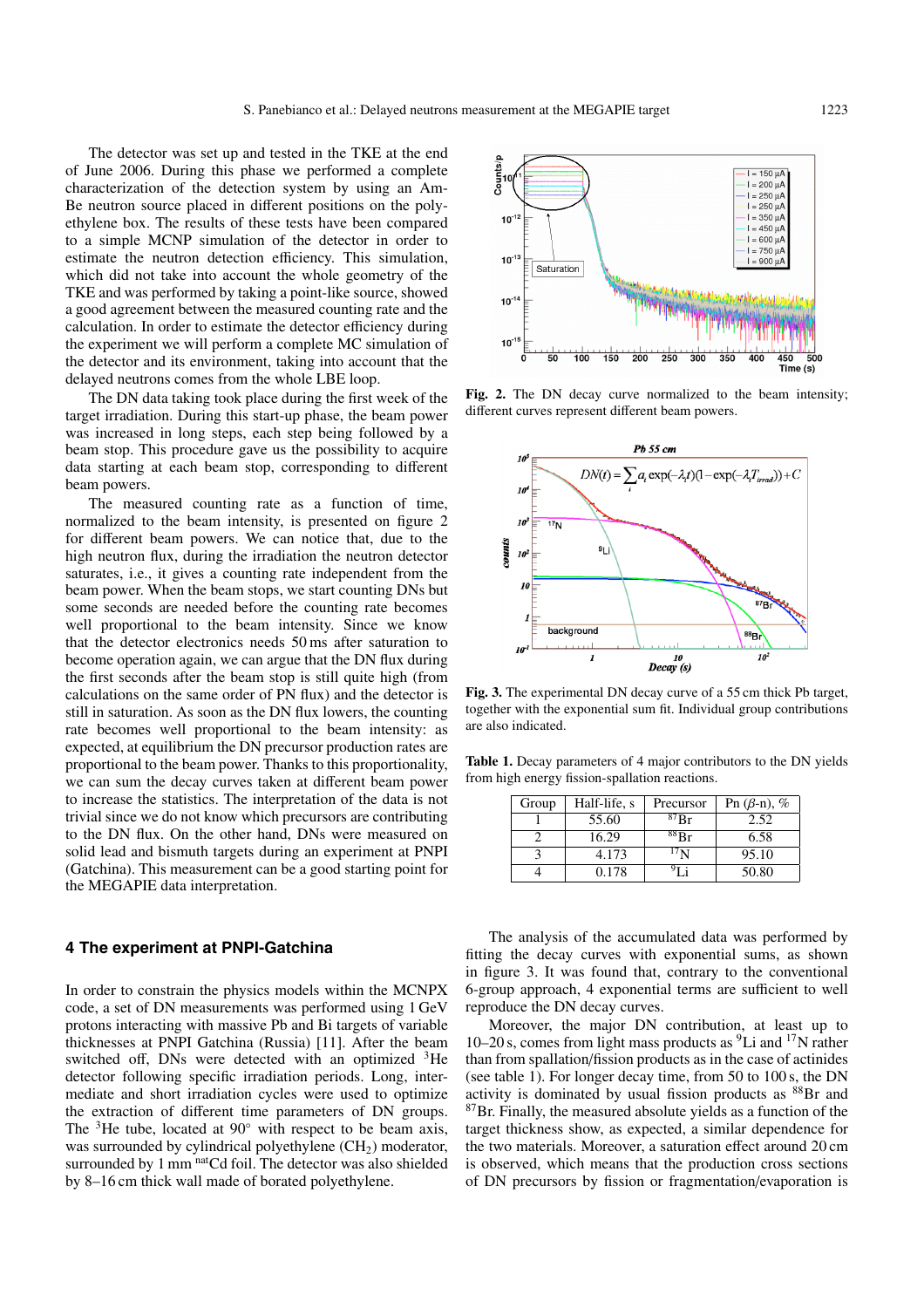The detector was set up and tested in the TKE at the end of June 2006. During this phase we performed a complete characterization of the detection system by using an Am-Be neutron source placed in different positions on the polyethylene box. The results of these tests have been compared to a simple MCNP simulation of the detector in order to estimate the neutron detection efficiency. This simulation, which did not take into account the whole geometry of the TKE and was performed by taking a point-like source, showed a good agreement between the measured counting rate and the calculation. In order to estimate the detector efficiency during the experiment we will perform a complete MC simulation of the detector and its environment, taking into account that the delayed neutrons comes from the whole LBE loop.

The DN data taking took place during the first week of the target irradiation. During this start-up phase, the beam power was increased in long steps, each step being followed by a beam stop. This procedure gave us the possibility to acquire data starting at each beam stop, corresponding to different beam powers.

The measured counting rate as a function of time, normalized to the beam intensity, is presented on figure 2 for different beam powers. We can notice that, due to the high neutron flux, during the irradiation the neutron detector saturates, i.e., it gives a counting rate independent from the beam power. When the beam stops, we start counting DNs but some seconds are needed before the counting rate becomes well proportional to the beam intensity. Since we know that the detector electronics needs 50 ms after saturation to become operation again, we can argue that the DN flux during the first seconds after the beam stop is still quite high (from calculations on the same order of PN flux) and the detector is still in saturation. As soon as the DN flux lowers, the counting rate becomes well proportional to the beam intensity: as expected, at equilibrium the DN precursor production rates are proportional to the beam power. Thanks to this proportionality, we can sum the decay curves taken at different beam power to increase the statistics. The interpretation of the data is not trivial since we do not know which precursors are contributing to the DN flux. On the other hand, DNs were measured on solid lead and bismuth targets during an experiment at PNPI (Gatchina). This measurement can be a good starting point for the MEGAPIE data interpretation.

#### **4 The experiment at PNPI-Gatchina**

In order to constrain the physics models within the MCNPX code, a set of DN measurements was performed using 1 GeV protons interacting with massive Pb and Bi targets of variable thicknesses at PNPI Gatchina (Russia) [11]. After the beam switched off, DNs were detected with an optimized <sup>3</sup>He detector following specific irradiation periods. Long, intermediate and short irradiation cycles were used to optimize the extraction of different time parameters of DN groups. The  $3$ He tube, located at 90 $\degree$  with respect to be beam axis, was surrounded by cylindrical polyethylene  $(CH<sub>2</sub>)$  moderator, surrounded by 1 mm natCd foil. The detector was also shielded by 8–16 cm thick wall made of borated polyethylene.



**Fig. 2.** The DN decay curve normalized to the beam intensity; different curves represent different beam powers.



**Fig. 3.** The experimental DN decay curve of a 55 cm thick Pb target, together with the exponential sum fit. Individual group contributions are also indicated.

**Table 1.** Decay parameters of 4 major contributors to the DN yields from high energy fission-spallation reactions.

| Group | Half-life, s | Precursor    | Pn $(\beta - n)$ , % |
|-------|--------------|--------------|----------------------|
|       | 55.60        | ${}^{87}$ Rr | 2.52                 |
|       | 16.29        | $^{88}Br$    | 6.58                 |
|       | 4.173        | 17 N         | 95.10                |
|       | 0.178        |              | 50.80                |

The analysis of the accumulated data was performed by fitting the decay curves with exponential sums, as shown in figure 3. It was found that, contrary to the conventional 6-group approach, 4 exponential terms are sufficient to well reproduce the DN decay curves.

Moreover, the major DN contribution, at least up to 10–20 s, comes from light mass products as 9Li and 17N rather than from spallation/fission products as in the case of actinides (see table 1). For longer decay time, from 50 to 100 s, the DN activity is dominated by usual fission products as 88Br and  $87Br.$  Finally, the measured absolute yields as a function of the target thickness show, as expected, a similar dependence for the two materials. Moreover, a saturation effect around 20 cm is observed, which means that the production cross sections of DN precursors by fission or fragmentation/evaporation is